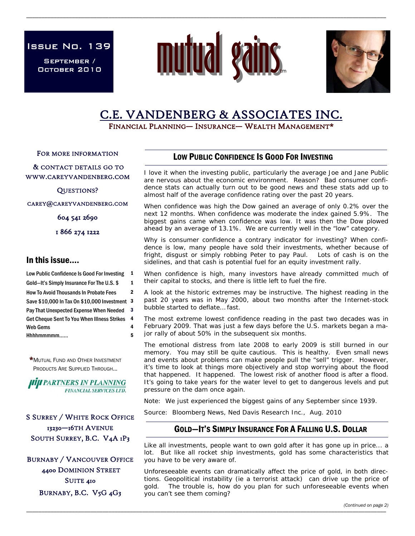Issue No. 139

September / October 2010



\_\_\_\_\_\_\_\_\_\_\_\_\_\_\_\_\_\_\_\_\_\_\_\_\_\_\_\_\_\_\_\_\_\_\_\_\_\_\_\_\_\_\_\_\_\_\_\_\_\_\_\_\_\_\_\_\_\_\_\_\_\_\_\_\_\_\_\_\_\_\_\_\_\_\_\_\_\_\_\_\_\_\_\_\_\_\_\_\_\_\_\_\_\_\_\_\_\_\_\_\_\_\_\_\_\_\_\_\_\_\_\_\_\_\_\_\_\_



# C.E. VANDENBERG & ASSOCIATES INC.<br>FINANCIAL PLANNING— INSURANCE— WEALTH MANAGEMENT\*

FOR MORE INFORMATION

 & CONTACT DETAILS GO TO WWW.CAREYVANDENBERG.COM

QUESTIONS?

CAREY@CAREYVANDENBERG.COM

604 541 2690

1 866 274 1222

# In this issue….

| Low Public Confidence Is Good For Investing   | 1  |
|-----------------------------------------------|----|
| Gold-It's Simply Insurance For The U.S. \$    | 1  |
| <b>How To Avoid Thousands In Probate Fees</b> | 2  |
| Save \$10,000 In Tax On \$10,000 Investment   | -3 |
| Pay That Unexpected Expense When Needed       | 3  |
| Get Cheque Sent To You When Illness Strikes   | 4  |
| Web Gems                                      | 4  |
| Hhhhmmmmm                                     | 5  |

\*MUTUAL FUND AND OTHER INVESTMENT PRODUCTS ARE SUPPLIED THROUGH...

**HIJI PARTNERS IN PLANNING FINANCIAL SERVICES LTD.** 

# S SURREY / WHITE ROCK OFFICE 13230—16TH AVENUE SOUTH SURREY, B.C. V4A 1P3

BURNABY / VANCOUVER OFFICE 4400 DOMINION STREET SUITE 410 BURNABY, B.C. V5G 4G3

# LOW PUBLIC CONFIDENCE IS GOOD FOR INVESTING

I love it when the investing public, particularly the average Joe and Jane Public are nervous about the economic environment. Reason? Bad consumer confidence stats can actually turn out to be good news and these stats add up to almost half of the average confidence rating over the past 20 years.

When confidence was high the Dow gained an average of only 0.2% over the next 12 months. When confidence was moderate the index gained 5.9%. The biggest gains came when confidence was low. It was then the Dow plowed ahead by an average of 13.1%. We are currently well in the "low" category.

Why is consumer confidence a contrary indicator for investing? When confidence is low, many people have sold their investments, whether because of fright, disgust or simply robbing Peter to pay Paul. Lots of cash is on the sidelines, and that cash is potential fuel for an equity investment rally.

When confidence is high, many investors have already committed much of their capital to stocks, and there is little left to fuel the fire.

A look at the historic extremes may be instructive. The highest reading in the past 20 years was in May 2000, about two months after the Internet-stock bubble started to deflate… fast.

The most extreme lowest confidence reading in the past two decades was in February 2009. That was just a few days before the U.S. markets began a major rally of about 50% in the subsequent six months.

The emotional distress from late 2008 to early 2009 is still burned in our memory. You may still be quite cautious. This is healthy. Even small news and events about problems can make people pull the "sell" trigger. However, it's time to look at things more objectively and stop worrying about the flood that happened. It happened. The lowest risk of another flood is after a flood. It's going to take years for the water level to get to dangerous levels and put pressure on the dam once again.

Note: We just experienced the biggest gains of any September since 1939.

Source: Bloomberg News, Ned Davis Research Inc., Aug. 2010

# GOLD—IT'S SIMPLY INSURANCE FOR A FALLING U.S. DOLLAR

Like all investments, people want to own gold after it has gone up in price... a lot. But like all rocket ship investments, gold has some characteristics that you have to be very aware of.

Unforeseeable events can dramatically affect the price of gold, in both directions. Geopolitical instability (ie a terrorist attack) can drive up the price of gold. The trouble is, how do you plan for such unforeseeable events when you can't see them coming?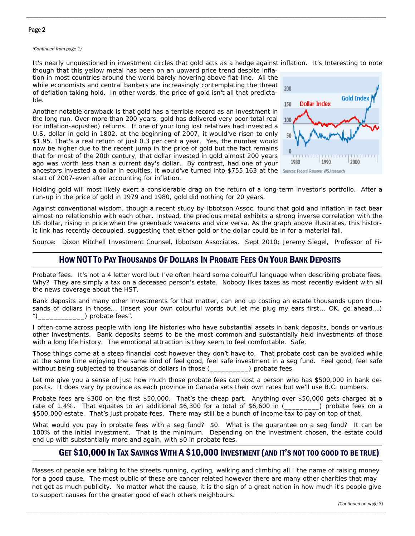## Page 2

*(Continued from page 1)* 

It's nearly unquestioned in investment circles that gold acts as a hedge against inflation. It's Interesting to note

\_\_\_\_\_\_\_\_\_\_\_\_\_\_\_\_\_\_\_\_\_\_\_\_\_\_\_\_\_\_\_\_\_\_\_\_\_\_\_\_\_\_\_\_\_\_\_\_\_\_\_\_\_\_\_\_\_\_\_\_\_\_\_\_\_\_\_\_\_\_\_\_\_\_\_\_\_\_\_\_\_\_\_\_\_\_\_\_\_\_\_\_\_\_\_\_\_\_\_\_\_\_\_\_\_\_\_\_\_\_\_\_\_\_\_\_\_\_

though that this yellow metal has been on an upward price trend despite inflation in most countries around the world barely hovering above flat-line. All the while economists and central bankers are increasingly contemplating the threat of deflation taking hold. In other words, the price of gold isn't all that predictable.

Another notable drawback is that gold has a terrible record as an investment in the long run. Over more than 200 years, gold has delivered very poor total real (or inflation-adjusted) returns. If one of your long lost relatives had invested a U.S. dollar in gold in 1802, at the beginning of 2007, it would've risen to only \$1.95. That's a real return of just 0.3 per cent a year. Yes, the number would now be higher due to the recent jump in the price of gold but the fact remains that for most of the 20th century, that dollar invested in gold almost 200 years ago was worth less than a current day's dollar. By contrast, had one of your ancestors invested a dollar in equities, it would've turned into \$755,163 at the start of 2007-even after accounting for inflation.



Holding gold will most likely exert a considerable drag on the return of a long-term investor's portfolio. After a run-up in the price of gold in 1979 and 1980, gold did nothing for 20 years.

Against conventional wisdom, though a recent study by Ibbotson Assoc. found that gold and inflation in fact bear almost no relationship with each other. Instead, the precious metal exhibits a strong inverse correlation with the US dollar, rising in price when the greenback weakens and vice versa. As the graph above illustrates, this historic link has recently decoupled, suggesting that either gold or the dollar could be in for a material fall.

Source: Dixon Mitchell Investment Counsel, Ibbotson Associates, Sept 2010; Jeremy Siegel, Professor of Fi-

## HOW NOT TO PAY THOUSANDS OF DOLLARS IN PROBATE FEES ON YOUR BANK DEPOSITS

Probate fees. It's not a 4 letter word but I've often heard some colourful language when describing probate fees. Why? They are simply a tax on a deceased person's estate. Nobody likes taxes as most recently evident with all the news coverage about the HST.

Bank deposits and many other investments for that matter, can end up costing an estate thousands upon thousands of dollars in those... (insert your own colourful words but let me plug my ears first... OK, go ahead....)  $"(\underline{\hspace{2cm}})$  probate fees".

I often come across people with long life histories who have substantial assets in bank deposits, bonds or various other investments. Bank deposits seems to be the most common and substantially held investments of those with a long life history. The emotional attraction is they seem to feel comfortable. Safe.

Those things come at a steep financial cost however they don't have to. That probate cost can be avoided while at the same time enjoying the same kind of feel good, feel safe investment in a seg fund. Feel good, feel safe without being subjected to thousands of dollars in those (\_\_\_\_\_\_\_\_\_\_) probate fees.

Let me give you a sense of just how much those probate fees can cost a person who has \$500,000 in bank deposits. It does vary by province as each province in Canada sets their own rates but we'll use B.C. numbers.

Probate fees are \$300 on the first \$50,000. That's the cheap part. Anything over \$50,000 gets charged at a rate of 1.4%. That equates to an additional \$6,300 for a total of \$6,600 in (\_\_\_\_\_\_\_) probate fees on a \$500,000 estate. That's just probate fees. There may still be a bunch of income tax to pay on top of that.

What would you pay in probate fees with a seg fund? \$0. What is the guarantee on a seg fund? It can be 100% of the initial investment. That is the minimum. Depending on the investment chosen, the estate could end up with substantially more and again, with \$0 in probate fees.

# GET \$10,000 IN TAX SAVINGS WITH A \$10,000 INVESTMENT (AND IT'S NOT TOO GOOD TO BE TRUE)

Masses of people are taking to the streets running, cycling, walking and climbing all I the name of raising money for a good cause. The most public of these are cancer related however there are many other charities that may not get as much publicity. No matter what the cause, it is the sign of a great nation in how much it's people give to support causes for the greater good of each others neighbours.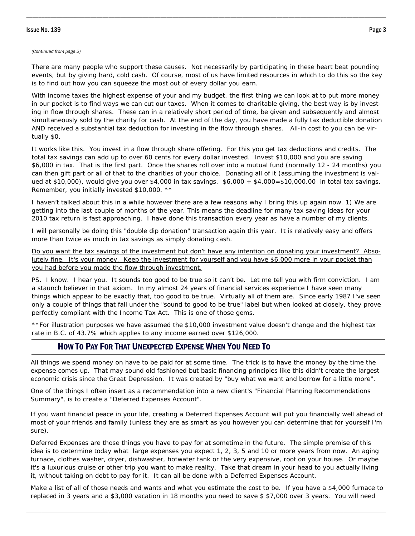## Issue No. 139 Page 3

#### *(Continued from page 2)*

There are many people who support these causes. Not necessarily by participating in these heart beat pounding events, but by giving hard, cold cash. Of course, most of us have limited resources in which to do this so the key is to find out how you can squeeze the most out of every dollar you earn.

\_\_\_\_\_\_\_\_\_\_\_\_\_\_\_\_\_\_\_\_\_\_\_\_\_\_\_\_\_\_\_\_\_\_\_\_\_\_\_\_\_\_\_\_\_\_\_\_\_\_\_\_\_\_\_\_\_\_\_\_\_\_\_\_\_\_\_\_\_\_\_\_\_\_\_\_\_\_\_\_\_\_\_\_\_\_\_\_\_\_\_\_\_\_\_\_\_\_\_\_\_\_\_\_\_\_\_\_\_\_\_\_\_\_\_\_\_\_

With income taxes the highest expense of your and my budget, the first thing we can look at to put more money in our pocket is to find ways we can cut our taxes. When it comes to charitable giving, the best way is by investing in flow through shares. These can in a relatively short period of time, be given and subsequently and almost simultaneously sold by the charity for cash. At the end of the day, you have made a fully tax deductible donation AND received a substantial tax deduction for investing in the flow through shares. All-in cost to you can be virtually \$0.

It works like this. You invest in a flow through share offering. For this you get tax deductions and credits. The total tax savings can add up to over 60 cents for every dollar invested. Invest \$10,000 and you are saving \$6,000 in tax. That is the first part. Once the shares roll over into a mutual fund (normally 12 - 24 months) you can then gift part or all of that to the charities of your choice. Donating all of it (assuming the investment is valued at \$10,000), would give you over \$4,000 in tax savings. \$6,000 + \$4,000=\$10,000.00 in total tax savings. Remember, you initially invested \$10,000. \*\*

I haven't talked about this in a while however there are a few reasons why I bring this up again now. 1) We are getting into the last couple of months of the year. This means the deadline for many tax saving ideas for your 2010 tax return is fast approaching. I have done this transaction every year as have a number of my clients.

I will personally be doing this "double dip donation" transaction again this year. It is relatively easy and offers more than twice as much in tax savings as simply donating cash.

Do you want the tax savings of the investment but don't have any intention on donating your investment? Absolutely fine. It's your money. Keep the investment for yourself and you have \$6,000 more in your pocket than you had before you made the flow through investment.

PS. I know. I hear you. It sounds too good to be true so it can't be. Let me tell you with firm conviction. I am a staunch believer in that axiom. In my almost 24 years of financial services experience I have seen many things which appear to be exactly that, too good to be true. Virtually all of them are. Since early 1987 I've seen only a couple of things that fall under the "sound to good to be true" label but when looked at closely, they prove perfectly compliant with the Income Tax Act. This is one of those gems.

\*\*For illustration purposes we have assumed the \$10,000 investment value doesn't change and the highest tax rate in B.C. of 43.7% which applies to any income earned over \$126,000.

## HOW TO PAY FOR THAT UNEXPECTED EXPENSE WHEN YOU NEED TO

All things we spend money on have to be paid for at some time. The trick is to have the money by the time the expense comes up. That may sound old fashioned but basic financing principles like this didn't create the largest economic crisis since the Great Depression. It was created by "buy what we want and borrow for a little more".

One of the things I often insert as a recommendation into a new client's "Financial Planning Recommendations Summary", is to create a "Deferred Expenses Account".

If you want financial peace in your life, creating a Deferred Expenses Account will put you financially well ahead of most of your friends and family (unless they are as smart as you however you can determine that for yourself I'm sure).

Deferred Expenses are those things you have to pay for at sometime in the future. The simple premise of this idea is to determine today what large expenses you expect 1, 2, 3, 5 and 10 or more years from now. An aging furnace, clothes washer, dryer, dishwasher, hotwater tank or the very expensive, roof on your house. Or maybe it's a luxurious cruise or other trip you want to make reality. Take that dream in your head to you actually living it, without taking on debt to pay for it. It can all be done with a Deferred Expenses Account.

Make a list of all of those needs and wants and what you estimate the cost to be. If you have a \$4,000 furnace to replaced in 3 years and a \$3,000 vacation in 18 months you need to save \$ \$7,000 over 3 years. You will need

\_\_\_\_\_\_\_\_\_\_\_\_\_\_\_\_\_\_\_\_\_\_\_\_\_\_\_\_\_\_\_\_\_\_\_\_\_\_\_\_\_\_\_\_\_\_\_\_\_\_\_\_\_\_\_\_\_\_\_\_\_\_\_\_\_\_\_\_\_\_\_\_\_\_\_\_\_\_\_\_\_\_\_\_\_\_\_\_\_\_\_\_\_\_\_\_\_\_\_\_\_\_\_\_\_\_\_\_\_\_\_\_\_\_\_\_\_\_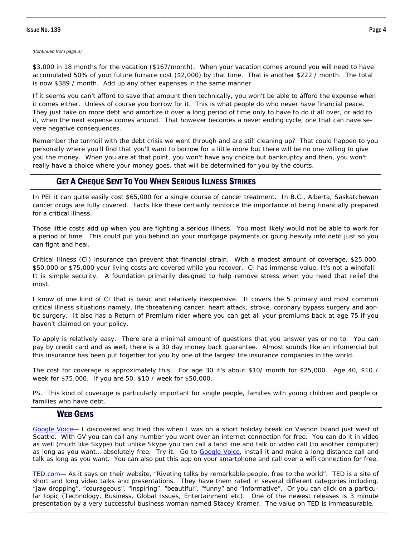## Issue No. 139 Page 4

#### *(Continued from page 3)*

\$3,000 in 18 months for the vacation (\$167/month). When your vacation comes around you will need to have accumulated 50% of your future furnace cost (\$2,000) by that time. That is another \$222 / month. The total is now \$389 / month. Add up any other expenses in the same manner.

\_\_\_\_\_\_\_\_\_\_\_\_\_\_\_\_\_\_\_\_\_\_\_\_\_\_\_\_\_\_\_\_\_\_\_\_\_\_\_\_\_\_\_\_\_\_\_\_\_\_\_\_\_\_\_\_\_\_\_\_\_\_\_\_\_\_\_\_\_\_\_\_\_\_\_\_\_\_\_\_\_\_\_\_\_\_\_\_\_\_\_\_\_\_\_\_\_\_\_\_\_\_\_\_\_\_\_\_\_\_\_\_\_\_\_\_\_\_

If it seems you can't afford to save that amount then technically, you won't be able to afford the expense when it comes either. Unless of course you borrow for it. This is what people do who never have financial peace. They just take on more debt and amortize it over a long period of time only to have to do it all over, or add to it, when the next expense comes around. That however becomes a never ending cycle, one that can have severe negative consequences.

Remember the turmoil with the debt crisis we went through and are still cleaning up? That could happen to you personally where you'll find that you'll want to borrow for a little more but there will be no one willing to give you the money. When you are at that point, you won't have any choice but bankruptcy and then, you won't really have a choice where your money goes, that will be determined for you by the courts.

## GET A CHEQUE SENT TO YOU WHEN SERIOUS ILLNESS STRIKES

 In PEI it can quite easily cost \$65,000 for a single course of cancer treatment. In B.C., Alberta, Saskatchewan cancer drugs are fully covered. Facts like these certainly reinforce the importance of being financially prepared for a critical illness.

Those little costs add up when you are fighting a serious illness. You most likely would not be able to work for a period of time. This could put you behind on your mortgage payments or going heavily into debt just so you can fight and heal.

Critical Illness (CI) insurance can prevent that financial strain. With a modest amount of coverage, \$25,000, \$50,000 or \$75,000 your living costs are covered while you recover. CI has immense value. It's not a windfall. It is simple security. A foundation primarily designed to help remove stress when you need that relief the most.

I know of one kind of CI that is basic and relatively inexpensive. It covers the 5 primary and most common critical illness situations namely, life threatening cancer, heart attack, stroke, coronary bypass surgery and aortic surgery. It also has a Return of Premium rider where you can get all your premiums back at age 75 if you haven't claimed on your policy.

To apply is relatively easy. There are a minimal amount of questions that you answer yes or no to. You can pay by credit card and as well, there is a 30 day money back guarantee. Almost sounds like an infomercial but this insurance has been put together for you by one of the largest life insurance companies in the world.

The cost for coverage is approximately this: For age 30 it's about \$10/ month for \$25,000. Age 40, \$10 / week for \$75,000. If you are 50, \$10 / week for \$50,000.

PS. This kind of coverage is particularly important for single people, families with young children and people or families who have debt.

## WEB GEMS

Google Voice— I discovered and tried this when I was on a short holiday break on Vashon Island just west of Seattle. With GV you can call any number you want over an internet connection for free. You can do it in video as well (much like Skype) but unlike Skype you can call a land line and talk or video call (to another computer) as long as you want… absolutely free. Try it. Go to Google Voice, install it and make a long distance call and talk as long as you want. You can also put this app on your smartphone and call over a wifi connection for free.

\_\_\_\_\_\_\_\_\_\_\_\_\_\_\_\_\_\_\_\_\_\_\_\_\_\_\_\_\_\_\_\_\_\_\_\_\_\_\_\_\_\_\_\_\_\_\_\_\_\_\_\_\_\_\_\_\_\_\_\_\_\_\_\_\_\_\_\_\_\_\_\_\_\_\_\_\_\_\_\_\_\_\_\_\_\_\_\_\_\_\_\_\_\_\_\_\_\_\_\_\_\_\_\_\_\_\_\_\_\_\_\_\_\_\_\_\_\_ TED.com— As it says on their website, "Riveting talks by remarkable people, free to the world". TED is a site of short and long video talks and presentations. They have them rated in several different categories including, "jaw dropping", "courageous", "inspiring", "beautiful", "funny" and "informative". Or you can click on a particular topic (Technology, Business, Global Issues, Entertainment etc). One of the newest releases is 3 minute presentation by a very successful business woman named Stacey Kramer. The value on TED is immeasurable.